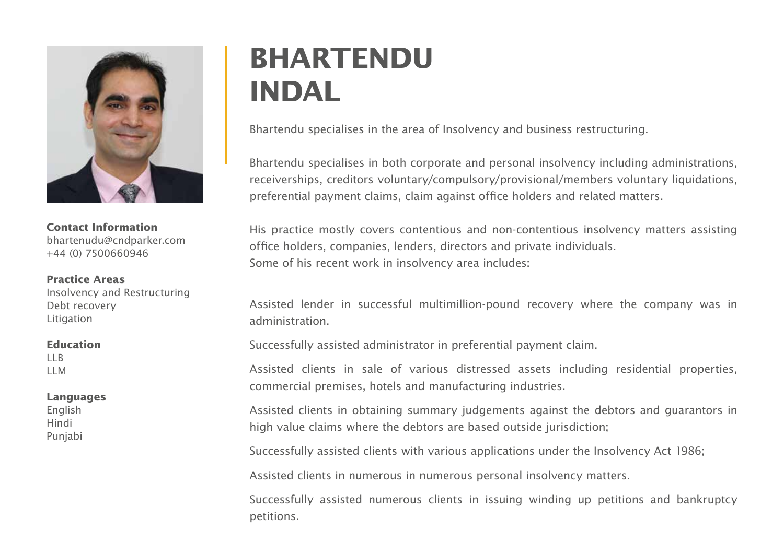

**Contact Information** bhartenudu@cndparker.com +44 (0) 7500660946

**Practice Areas** Insolvency and Restructuring Debt recovery Litigation

## **Education** LLB

LLM

## **Languages**

English Hindi Punjabi

## **BHARTENDU INDAL**

Bhartendu specialises in the area of Insolvency and business restructuring.

Bhartendu specialises in both corporate and personal insolvency including administrations, receiverships, creditors voluntary/compulsory/provisional/members voluntary liquidations, preferential payment claims, claim against office holders and related matters.

His practice mostly covers contentious and non-contentious insolvency matters assisting office holders, companies, lenders, directors and private individuals. Some of his recent work in insolvency area includes:

Assisted lender in successful multimillion-pound recovery where the company was in administration.

Successfully assisted administrator in preferential payment claim.

Assisted clients in sale of various distressed assets including residential properties, commercial premises, hotels and manufacturing industries.

Assisted clients in obtaining summary judgements against the debtors and guarantors in high value claims where the debtors are based outside jurisdiction;

Successfully assisted clients with various applications under the Insolvency Act 1986;

Assisted clients in numerous in numerous personal insolvency matters.

Successfully assisted numerous clients in issuing winding up petitions and bankruptcy petitions.